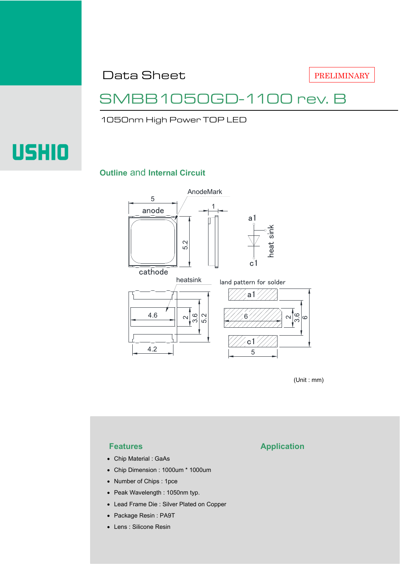Data Sheet

PRELIMINARY

### SMBB1050GD-1100 rev. B

1050nm High Power TOP LED

# **USHIO**

### **Outline** and **Internal Circuit**



(Unit : mm)

- Chip Material : GaAs
- Chip Dimension : 1000um \* 1000um
- Number of Chips : 1pce
- Peak Wavelength : 1050nm typ.
- Lead Frame Die : Silver Plated on Copper
- Package Resin : PA9T
- Lens : Silicone Resin

### **Features Application**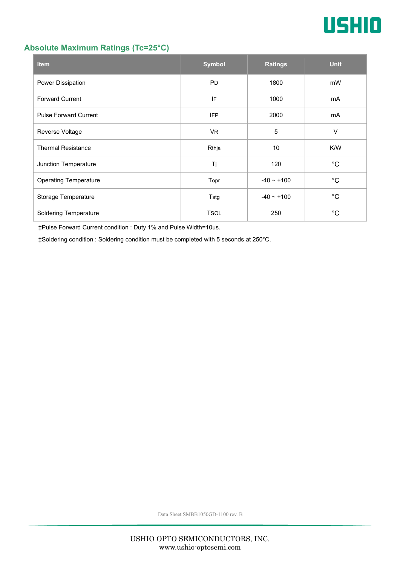

### **Absolute Maximum Ratings (Tc=25°C)**

| <b>Item</b>                  | <b>Symbol</b> | <b>Ratings</b>  | <b>Unit</b> |
|------------------------------|---------------|-----------------|-------------|
| Power Dissipation            | <b>PD</b>     | 1800            | mW          |
| <b>Forward Current</b>       | IF            | 1000            | mA          |
| <b>Pulse Forward Current</b> | <b>IFP</b>    | 2000            | mA          |
| Reverse Voltage              | <b>VR</b>     | $\overline{5}$  | $\vee$      |
| <b>Thermal Resistance</b>    | Rthja         | 10              | K/W         |
| Junction Temperature         | Tj            | 120             | $^{\circ}C$ |
| <b>Operating Temperature</b> | Topr          | $-40 \sim +100$ | $^{\circ}C$ |
| Storage Temperature          | Tstg          | $-40 - +100$    | $^{\circ}C$ |
| <b>Soldering Temperature</b> | <b>TSOL</b>   | 250             | °С          |

‡Pulse Forward Current condition : Duty 1% and Pulse Width=10us.

‡Soldering condition : Soldering condition must be completed with 5 seconds at 250°C.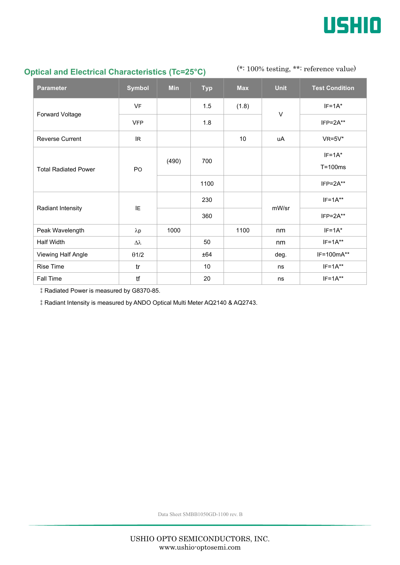

### **Optical and Electrical Characteristics (Tc=25°C)**

### (\*: 100% testing, \*\*: reference value)

| <b>Parameter</b>            | <b>Symbol</b>    | <b>Min</b> | <b>Typ</b> | <b>Max</b>      | <b>Unit</b> | <b>Test Condition</b> |
|-----------------------------|------------------|------------|------------|-----------------|-------------|-----------------------|
| Forward Voltage             | <b>VF</b>        |            | 1.5        | (1.8)           | V           | $IF=1A^*$             |
|                             | <b>VFP</b>       |            | 1.8        |                 |             | $IFP = 2A**$          |
| <b>Reverse Current</b>      | IR.              |            |            | 10 <sup>°</sup> | uA          | $VR=5V^*$             |
| <b>Total Radiated Power</b> | PO               | (490)      | 700        |                 |             | $IF=1A*$              |
|                             |                  |            |            |                 |             | $T = 100ms$           |
|                             |                  |            | 1100       |                 |             | $IFP = 2A**$          |
| Radiant Intensity           | IE.              |            | 230        |                 | mW/sr       | $IF=1A**$             |
|                             |                  |            | 360        |                 |             | $IFP = 2A**$          |
| Peak Wavelength             | $\lambda p$      | 1000       |            | 1100            | nm          | $IF = 1A^*$           |
| <b>Half Width</b>           | $\Delta \lambda$ |            | 50         |                 | nm          | $IF=1A**$             |
| Viewing Half Angle          | $\theta$ 1/2     |            | ±64        |                 | deg.        | IF=100mA**            |
| <b>Rise Time</b>            | tr               |            | 10         |                 | ns          | $IF=1A**$             |
| Fall Time                   | tf               |            | 20         |                 | ns          | $IF=1A**$             |

‡Radiated Power is measured by G8370-85.

‡Radiant Intensity is measured by ANDO Optical Multi Meter AQ2140 & AQ2743.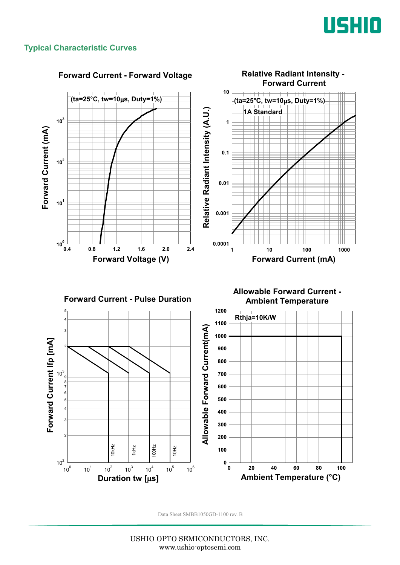

### **Typical Characteristic Curves**



USHIO OPTO SEMICONDUCTORS, INC. www.ushio-optosemi.com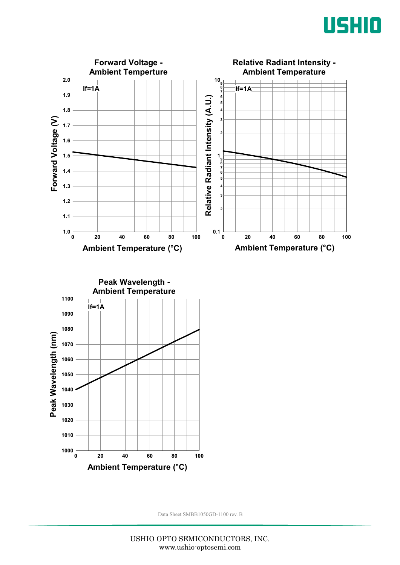



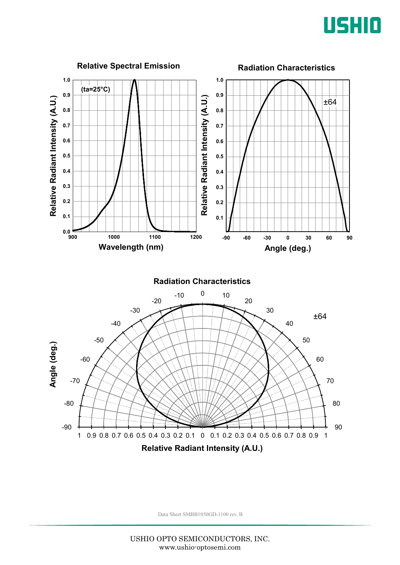

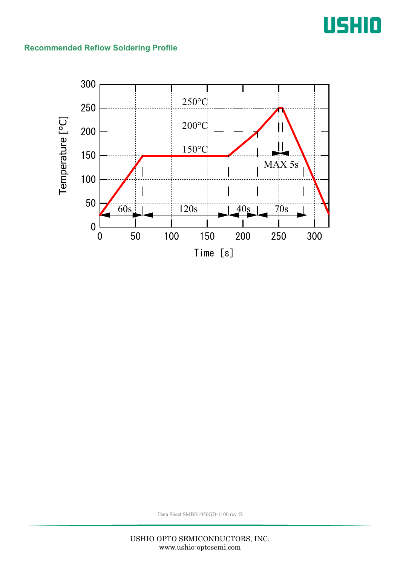## USHIO

### **Recommended Reflow Soldering Profile**

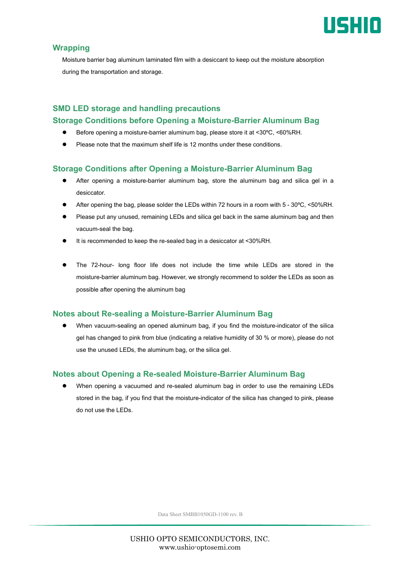

### **Wrapping**

Moisture barrier bag aluminum laminated film with a desiccant to keep out the moisture absorption during the transportation and storage.

### **SMD LED storage and handling precautions Storage Conditions before Opening a Moisture-Barrier Aluminum Bag**

- Before opening a moisture-barrier aluminum bag, please store it at <30ºC, <60%RH.
- Please note that the maximum shelf life is 12 months under these conditions.

### **Storage Conditions after Opening a Moisture-Barrier Aluminum Bag**

- After opening a moisture-barrier aluminum bag, store the aluminum bag and silica gel in a desiccator.
- After opening the bag, please solder the LEDs within 72 hours in a room with 5 30ºC, <50%RH.
- Please put any unused, remaining LEDs and silica gel back in the same aluminum bag and then vacuum-seal the bag.
- It is recommended to keep the re-sealed bag in a desiccator at <30%RH.
- The 72-hour- long floor life does not include the time while LEDs are stored in the moisture-barrier aluminum bag. However, we strongly recommend to solder the LEDs as soon as possible after opening the aluminum bag

### **Notes about Re-sealing a Moisture-Barrier Aluminum Bag**

 When vacuum-sealing an opened aluminum bag, if you find the moisture-indicator of the silica gel has changed to pink from blue (indicating a relative humidity of 30 % or more), please do not use the unused LEDs, the aluminum bag, or the silica gel.

### **Notes about Opening a Re-sealed Moisture-Barrier Aluminum Bag**

 When opening a vacuumed and re-sealed aluminum bag in order to use the remaining LEDs stored in the bag, if you find that the moisture-indicator of the silica has changed to pink, please do not use the LEDs.